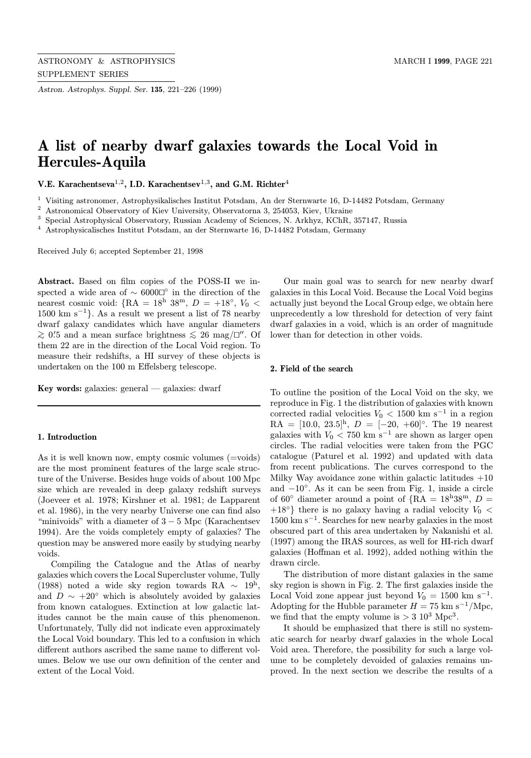Astron. Astrophys. Suppl. Ser. 135, 221–226 (1999)

# A list of nearby dwarf galaxies towards the Local Void in Hercules-Aquila

V.E. Karachentseva<sup>1,2</sup>, I.D. Karachentsev<sup>1,3</sup>, and G.M. Richter<sup>4</sup>

<sup>1</sup> Visiting astronomer, Astrophysikalisches Institut Potsdam, An der Sternwarte 16, D-14482 Potsdam, Germany

<sup>2</sup> Astronomical Observatory of Kiev University, Observatorna 3, 254053, Kiev, Ukraine

<sup>3</sup> Special Astrophysical Observatory, Russian Academy of Sciences, N. Arkhyz, KChR, 357147, Russia

<sup>4</sup> Astrophysicalisches Institut Potsdam, an der Sternwarte 16, D-14482 Potsdam, Germany

Received July 6; accepted September 21, 1998

Abstract. Based on film copies of the POSS-II we inspected a wide area of  $\sim$  6000 $\Box$ ° in the direction of the nearest cosmic void: {RA =  $18<sup>h</sup>$  38<sup>m</sup>,  $D = +18<sup>°</sup>$ ,  $V_0$  < 1500 km s<sup> $-1$ </sup>}. As a result we present a list of 78 nearby dwarf galaxy candidates which have angular diameters  $\gtrsim$  0.5 and a mean surface brightness  $\lesssim$  26 mag/ $\Box''$ . Of them 22 are in the direction of the Local Void region. To measure their redshifts, a HI survey of these objects is undertaken on the 100 m Effelsberg telescope.

Key words: galaxies: general — galaxies: dwarf

### 1. Introduction

As it is well known now, empty cosmic volumes (=voids) are the most prominent features of the large scale structure of the Universe. Besides huge voids of about 100 Mpc size which are revealed in deep galaxy redshift surveys (Joeveer et al. 1978; Kirshner et al. 1981; de Lapparent et al. 1986), in the very nearby Universe one can find also "minivoids" with a diameter of  $3-5$  Mpc (Karachentsev 1994). Are the voids completely empty of galaxies? The question may be answered more easily by studying nearby voids.

Compiling the Catalogue and the Atlas of nearby galaxies which covers the Local Supercluster volume, Tully (1988) noted a wide sky region towards RA  $\sim$  19<sup>h</sup>, and  $D \sim +20^{\circ}$  which is absolutely avoided by galaxies from known catalogues. Extinction at low galactic latitudes cannot be the main cause of this phenomenon. Unfortunately, Tully did not indicate even approximately the Local Void boundary. This led to a confusion in which different authors ascribed the same name to different volumes. Below we use our own definition of the center and extent of the Local Void.

Our main goal was to search for new nearby dwarf galaxies in this Local Void. Because the Local Void begins actually just beyond the Local Group edge, we obtain here unprecedently a low threshold for detection of very faint dwarf galaxies in a void, which is an order of magnitude lower than for detection in other voids.

#### 2. Field of the search

To outline the position of the Local Void on the sky, we reproduce in Fig. 1 the distribution of galaxies with known corrected radial velocities  $V_0 < 1500$  km s<sup>-1</sup> in a region  $\rm{RA} = [10.0, 23.5]^h, D = [-20, +60]^\circ.$  The 19 nearest galaxies with  $V_0 < 750 \text{ km s}^{-1}$  are shown as larger open circles. The radial velocities were taken from the PGC catalogue (Paturel et al. 1992) and updated with data from recent publications. The curves correspond to the Milky Way avoidance zone within galactic latitudes  $+10$ and −10◦. As it can be seen from Fig. 1, inside a circle of 60° diameter around a point of  $\{RA = 18h38m, D =$ +18<sup>°</sup>} there is no galaxy having a radial velocity  $V_0$  <  $1500 \text{ km s}^{-1}$ . Searches for new nearby galaxies in the most obscured part of this area undertaken by Nakanishi et al. (1997) among the IRAS sources, as well for HI-rich dwarf galaxies (Hoffman et al. 1992), added nothing within the drawn circle.

The distribution of more distant galaxies in the same sky region is shown in Fig. 2. The first galaxies inside the Local Void zone appear just beyond  $V_0 = 1500$  km s<sup>-1</sup>. Adopting for the Hubble parameter  $H = 75$  km s<sup>-1</sup>/Mpc, we find that the empty volume is  $> 3 \times 10^3$  Mpc<sup>3</sup>.

It should be emphasized that there is still no systematic search for nearby dwarf galaxies in the whole Local Void area. Therefore, the possibility for such a large volume to be completely devoided of galaxies remains unproved. In the next section we describe the results of a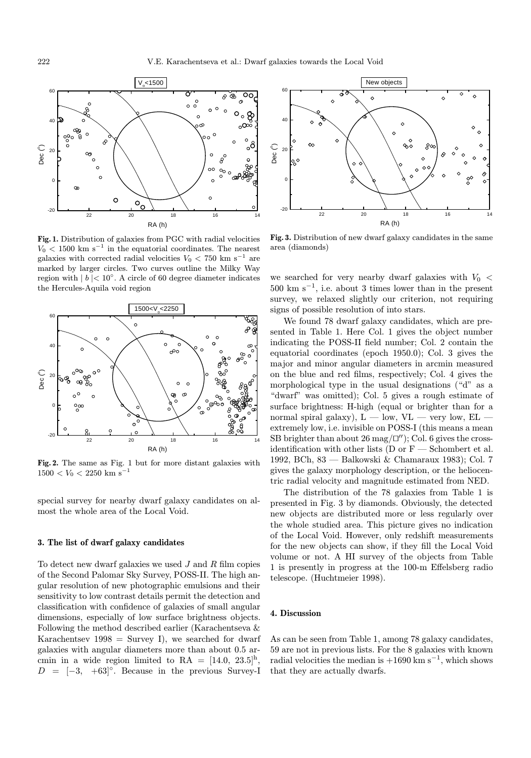

Fig. 1. Distribution of galaxies from PGC with radial velocities  $V_0$  < 1500 km s<sup>-1</sup> in the equatorial coordinates. The nearest galaxies with corrected radial velocities  $V_0 < 750$  km s<sup>-1</sup> are marked by larger circles. Two curves outline the Milky Way region with  $|b| < 10°$ . A circle of 60 degree diameter indicates the Hercules-Aquila void region



Fig. 2. The same as Fig. 1 but for more distant galaxies with  $1500 < V_0 < 2250$  km s<sup>-1</sup>

special survey for nearby dwarf galaxy candidates on almost the whole area of the Local Void.

#### 3. The list of dwarf galaxy candidates

To detect new dwarf galaxies we used  $J$  and  $R$  film copies of the Second Palomar Sky Survey, POSS-II. The high angular resolution of new photographic emulsions and their sensitivity to low contrast details permit the detection and classification with confidence of galaxies of small angular dimensions, especially of low surface brightness objects. Following the method described earlier (Karachentseva & Karachentsev  $1998 =$  Survey I), we searched for dwarf galaxies with angular diameters more than about 0.5 arcmin in a wide region limited to RA =  $[14.0, 23.5]$ <sup>h</sup>,  $D = [-3, +63]^\circ$ . Because in the previous Survey-I



Fig. 3. Distribution of new dwarf galaxy candidates in the same area (diamonds)

we searched for very nearby dwarf galaxies with  $V_0$  <  $500 \text{ km s}^{-1}$ , i.e. about 3 times lower than in the present survey, we relaxed slightly our criterion, not requiring signs of possible resolution of into stars.

We found 78 dwarf galaxy candidates, which are presented in Table 1. Here Col. 1 gives the object number indicating the POSS-II field number; Col. 2 contain the equatorial coordinates (epoch 1950.0); Col. 3 gives the major and minor angular diameters in arcmin measured on the blue and red films, respectively; Col. 4 gives the morphological type in the usual designations ("d" as a "dwarf" was omitted); Col. 5 gives a rough estimate of surface brightness: H-high (equal or brighter than for a normal spiral galaxy),  $L - low$ ,  $VL - very$  low,  $EL$ extremely low, i.e. invisible on POSS-I (this means a mean SB brighter than about 26 mag/ $\Box'$ ; Col. 6 gives the crossidentification with other lists (D or  $F$  — Schombert et al. 1992, BCh, 83 — Balkowski & Chamaraux 1983); Col. 7 gives the galaxy morphology description, or the heliocentric radial velocity and magnitude estimated from NED.

The distribution of the 78 galaxies from Table 1 is presented in Fig. 3 by diamonds. Obviously, the detected new objects are distributed more or less regularly over the whole studied area. This picture gives no indication of the Local Void. However, only redshift measurements for the new objects can show, if they fill the Local Void volume or not. A HI survey of the objects from Table 1 is presently in progress at the 100-m Effelsberg radio telescope. (Huchtmeier 1998).

#### 4. Discussion

As can be seen from Table 1, among 78 galaxy candidates, 59 are not in previous lists. For the 8 galaxies with known radial velocities the median is  $+1690 \text{ km s}^{-1}$ , which shows that they are actually dwarfs.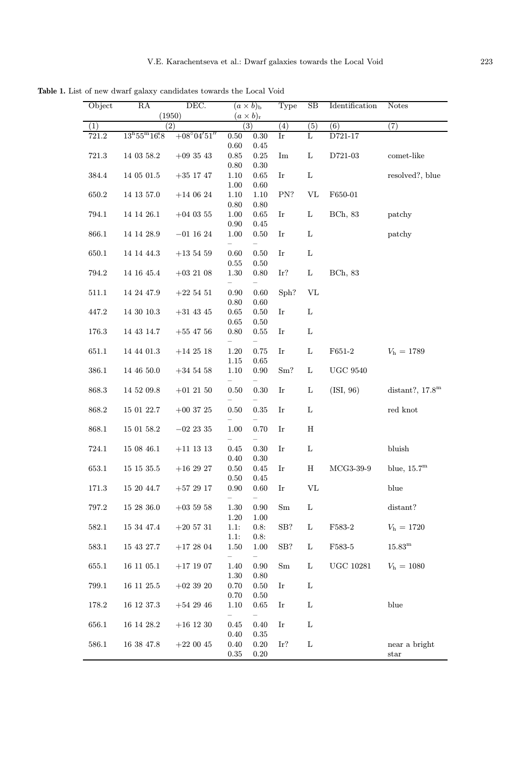Table 1. List of new dwarf galaxy candidates towards the Local Void

| Object | RA                               | DEC.                 |                                        | $(a \times b)_{\rm b}$ | Type           | SB               | Identification        | <b>Notes</b>             |
|--------|----------------------------------|----------------------|----------------------------------------|------------------------|----------------|------------------|-----------------------|--------------------------|
|        | (1950)<br>(2)                    |                      | $(a \times b)_{r}$<br>$\overline{(3)}$ |                        |                |                  |                       |                          |
| (1)    | $13^{\rm h}55^{\rm m}16{\rm s}8$ | $+08^{\circ}04'51''$ |                                        |                        | (4)            | $\overline{(5)}$ | (6)<br>D721-17        | $\overline{(7)}$         |
| 721.2  |                                  |                      | 0.50<br>$0.60\,$                       | 0.30<br>0.45           | $_{\rm Ir}$    | L                |                       |                          |
| 721.3  | 14 03 58.2                       | $+093543$            | $\rm 0.85$                             | $0.25\,$               | Im             | L                | D721-03               | comet-like               |
|        |                                  |                      | $0.80\,$                               | 0.30                   |                |                  |                       |                          |
| 384.4  | 14 05 01.5                       | $+35$ 17 47          | 1.10                                   | 0.65                   | Ir             | $\mathbf L$      |                       | resolved?, blue          |
|        |                                  |                      | 1.00                                   | $0.60\,$               |                |                  |                       |                          |
| 650.2  | 14 13 57.0                       | $+140624$            | 1.10                                   | 1.10                   | PN?            | $\rm{VL}$        | F650-01               |                          |
|        |                                  |                      | 0.80                                   | 0.80                   |                |                  |                       |                          |
| 794.1  | 14 14 26.1                       | $+04$ 03 55          | 1.00<br>0.90                           | 0.65                   | Ir             | L                | BCh, 83               | patchy                   |
| 866.1  | 14 14 28.9                       | $-01$ 16 24          | 1.00                                   | 0.45<br>0.50           | Ir             | L                |                       | patchy                   |
|        |                                  |                      |                                        |                        |                |                  |                       |                          |
| 650.1  | 14 14 44.3                       | $+13\;54\;59$        | 0.60                                   | 0.50                   | Ir             | L                |                       |                          |
|        |                                  |                      | 0.55                                   | 0.50                   |                |                  |                       |                          |
| 794.2  | 14 16 45.4                       | $+03$ 21 08          | 1.30                                   | 0.80                   | Ir?            | L                | <b>BCh</b> , 83       |                          |
|        |                                  |                      |                                        |                        |                |                  |                       |                          |
| 511.1  | 14 24 47.9                       | $+225451$            | 0.90                                   | 0.60                   | Sph?           | ${\rm VL}$       |                       |                          |
|        |                                  |                      | 0.80                                   | 0.60                   |                |                  |                       |                          |
| 447.2  | 14 30 10.3                       | $+31$ 43 45          | 0.65                                   | $0.50\,$               | Ir             | L                |                       |                          |
|        |                                  |                      | 0.65                                   | 0.50                   | Ir             | L                |                       |                          |
| 176.3  | 14 43 14.7                       | $+55$ 47 56          | 0.80                                   | 0.55                   |                |                  |                       |                          |
| 651.1  | $14\ 44\ 01.3$                   | $+142518$            | $1.20\,$                               | 0.75                   | Ir             | L                | ${\rm F651\text{-}2}$ | $V_{\rm h} = 1789$       |
|        |                                  |                      | 1.15                                   | 0.65                   |                |                  |                       |                          |
| 386.1  | 14 46 50.0                       | $+34$ 54 58          | 1.10                                   | $0.90\,$               | $\mathrm{Sm}?$ | L                | <b>UGC 9540</b>       |                          |
|        |                                  |                      |                                        |                        |                |                  |                       |                          |
| 868.3  | 14 52 09.8                       | $+01$ 21 50          | 0.50                                   | 0.30                   | Ir             | L                | (ISI, 96)             | distant?, $17.8^{\rm m}$ |
|        |                                  |                      |                                        |                        |                |                  |                       |                          |
| 868.2  | 15 01 22.7                       | $+00$ 37 25          | 0.50                                   | 0.35                   | Ir             | L                |                       | red knot                 |
| 868.1  | 15 01 58.2                       | $-02$ 23 35          | 1.00                                   | 0.70                   | Ir             | H                |                       |                          |
|        |                                  |                      | -                                      |                        |                |                  |                       |                          |
| 724.1  | $15\ 08\ 46.1$                   | $+11$ 13 13          | 0.45                                   | 0.30                   | Ir             | $\mathbf L$      |                       | bluish                   |
|        |                                  |                      | 0.40                                   | 0.30                   |                |                  |                       |                          |
| 653.1  | 15 15 35.5                       | $+162927$            | 0.50                                   | 0.45                   | Ir             | $\rm H$          | $MCG3-39-9$           | blue, $15.7^{\rm m}$     |
|        |                                  |                      | 0.50                                   | 0.45                   |                |                  |                       |                          |
| 171.3  | 15 20 44.7                       | $+572917$            | 0.90                                   | 0.60                   | Ir             | $\rm{VL}$        |                       | blue                     |
|        |                                  |                      | $\overline{\phantom{a}}$               |                        |                |                  |                       |                          |
| 797.2  | $15\ 28\ 36.0$                   | $+035958$            | 1.30                                   | 0.90                   | Sm             | L                |                       | distant?                 |
| 582.1  | 15 34 47.4                       | $+20\;57\;31$        | 1.20<br>1.1:                           | 1.00<br>0.8:           | SB?            | L                | F <sub>583</sub> -2   | $V_{\rm h} = 1720$       |
|        |                                  |                      | 1.1:                                   | 0.8:                   |                |                  |                       |                          |
| 583.1  | 15 43 27.7                       | $+172804$            | 1.50                                   | 1.00                   | SB?            | L                | ${\rm F}583\text{-}5$ | $15.83^{\rm m}$          |
|        |                                  |                      |                                        |                        |                |                  |                       |                          |
| 655.1  | 16 11 05.1                       | $+17$ 19 07          | 1.40                                   | 0.90                   | Sm             | L                | $UGC$ 10281           | $V_{\rm h} = 1080$       |
|        |                                  |                      | 1.30                                   | 0.80                   |                |                  |                       |                          |
| 799.1  | 16 11 25.5                       | $+023920$            | 0.70                                   | 0.50                   | Ir             | L                |                       |                          |
|        |                                  |                      | 0.70                                   | $0.50\,$               |                |                  |                       |                          |
| 178.2  | 16 12 37.3                       | $+542946$            | 1.10                                   | 0.65                   | Ir             | L                |                       | blue                     |
|        |                                  |                      | $\overline{\phantom{0}}$               |                        |                | L                |                       |                          |
| 656.1  | 16 14 28.2                       | $+16$ 12 30          | 0.45<br>0.40                           | 0.40<br>0.35           | Ir             |                  |                       |                          |
| 586.1  | 16 38 47.8                       | $+220045$            | 0.40                                   | 0.20                   | Ir?            | L                |                       | near a bright            |
|        |                                  |                      | 0.35                                   | 0.20                   |                |                  |                       | $_{\rm star}$            |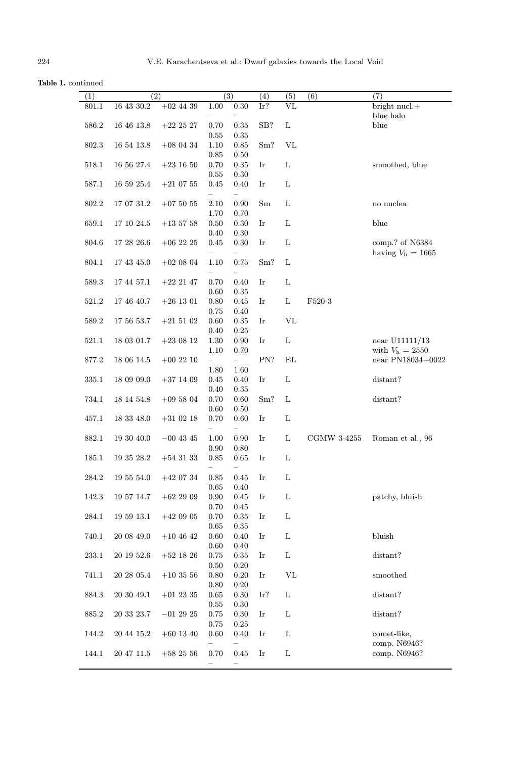Table 1. continued

| (1)       |                | $\overline{(2)}$ |            | $\overline{(3)}$         | (4) | (5)         | (6)                   | (7)                       |
|-----------|----------------|------------------|------------|--------------------------|-----|-------------|-----------------------|---------------------------|
| 801.1     | $16\ 43\ 30.2$ | $+02$ 44 39      | 1.00       | $0.30\,$                 | Ir? | VL          |                       | bright nucl.+             |
|           |                |                  |            |                          |     |             |                       | blue halo                 |
| 586.2     | 16 46 13.8     | $+22$ 25 27      | 0.70       | $\rm 0.35$               | SB? | L           |                       | blue                      |
|           |                |                  | 0.55       | $\rm 0.35$               |     |             |                       |                           |
| 802.3     | $16\ 54\ 13.8$ | $+08$ 04 34      | 1.10       | 0.85                     | Sm? | $\rm{VL}$   |                       |                           |
|           |                |                  | 0.85       | 0.50                     |     |             |                       |                           |
|           | 16 56 27.4     |                  | 0.70       | $\rm 0.35$               | Ir  | L           |                       |                           |
| 518.1     |                | $+23$ 16 50      |            |                          |     |             |                       | smoothed, blue            |
|           |                |                  | 0.55       | 0.30                     |     |             |                       |                           |
| 587.1     | 16 59 25.4     | $+210755$        | 0.45       | 0.40                     | Ir  | L           |                       |                           |
|           |                |                  |            |                          |     |             |                       |                           |
| 802.2     | 17 07 31.2     | $+075055$        | 2.10       | 0.90                     | Sm  | L           |                       | $\,$ no nuclea            |
|           |                |                  | 1.70       | 0.70                     |     |             |                       |                           |
| 659.1     | 17 10 24.5     | $+13\;57\;58$    | 0.50       | 0.30                     | Ir  | L           |                       | blue                      |
|           |                |                  | 0.40       | 0.30                     |     |             |                       |                           |
| 804.6     | 17 28 26.6     | $+06$ 22 25      | 0.45       | 0.30                     | Ir  | L           |                       | comp.? of N6384           |
|           |                |                  |            |                          |     |             |                       | having $V_{\rm h}$ = 1665 |
| 804.1     | 17 43 45.0     | $+020804$        | 1.10       | 0.75                     | Sm? | L           |                       |                           |
|           |                |                  |            | -                        |     |             |                       |                           |
| 589.3     | 17 44 57.1     | $+22$ 21 47      | 0.70       | 0.40                     | Ir  | L           |                       |                           |
|           |                |                  | 0.60       | 0.35                     |     |             |                       |                           |
| 521.2     | 17 46 40.7     | $+26$ 13 01      | 0.80       | 0.45                     | Ir  | L           | ${\rm F}520\text{-}3$ |                           |
|           |                |                  | 0.75       | 0.40                     |     |             |                       |                           |
| 589.2     | 17 56 53.7     | $+21\ 51\ 02$    | 0.60       | 0.35                     | Ir  | VL          |                       |                           |
|           |                |                  | 0.40       | 0.25                     |     |             |                       |                           |
| 521.1     | 18 03 01.7     | $+23\ 08\ 12$    | 1.30       | 0.90                     | Ir  | L           |                       | near $U11111/13$          |
|           |                |                  | 1.10       | $0.70\,$                 |     |             |                       | with $V_{\rm h}$ = 2550   |
| 877.2     | 18 06 14.5     | $+002210$        | -          | $\equiv$                 | PN? | EL          |                       | near PN18034+0022         |
|           |                |                  |            |                          |     |             |                       |                           |
|           |                |                  | 1.80       | 1.60                     |     |             |                       |                           |
| 335.1     | 18 09 09.0     | $+37$ 14 09      | 0.45       | 0.40                     | Ir  | L           |                       | distant?                  |
|           |                |                  | 0.40       | 0.35                     |     |             |                       |                           |
| 734.1     | 18 14 54.8     | $+095804$        | 0.70       | 0.60                     | Sm? | L           |                       | distant?                  |
|           |                |                  | 0.60       | 0.50                     |     |             |                       |                           |
| 457.1     | 18 33 48.0     | $+31$ 02 18      | 0.70       | 0.60                     | Ir  | L           |                       |                           |
|           |                |                  |            | $\overline{\phantom{0}}$ |     |             |                       |                           |
| 882.1     | 19 30 40.0     | $-00$ 43 45      | 1.00       | 0.90                     | Ir  | L           | CGMW 3-4255           | Roman et al., 96          |
|           |                |                  | 0.90       | 0.80                     |     |             |                       |                           |
| 185.1     | $19\ 35\ 28.2$ | $+54$ 31 33      | 0.85       | 0.65                     | Ir  | L           |                       |                           |
|           |                |                  |            |                          |     |             |                       |                           |
| 284.2     | 19 55 54.0     | $+420734$        | 0.85       | 0.45                     | Ir  | L           |                       |                           |
|           |                |                  | $0.65\,$   | 0.40                     |     |             |                       |                           |
| 142.3     | 19 57 14.7     | $+622909$        | 0.90       | 0.45                     | Ir  | L           |                       | patchy, bluish            |
|           |                |                  | 0.70       | 0.45                     |     |             |                       |                           |
| $284.1\,$ | 195913.1       | $+42$ 09 05      | 0.70       | $\rm 0.35$               | Ir  | L           |                       |                           |
|           |                |                  | $\,0.65\,$ | 0.35                     |     |             |                       |                           |
| 740.1     | 20 08 49.0     | $+104642$        | 0.60       | 0.40                     | Ir  | L           |                       | bluish                    |
|           |                |                  | $0.60\,$   | 0.40                     |     |             |                       |                           |
| $233.1\,$ | $20\ 19\ 52.6$ | $+52$ 18 26      | 0.75       | 0.35                     | Ir  | L           |                       | distant?                  |
|           |                |                  |            |                          |     |             |                       |                           |
|           | $20\ 28\ 05.4$ |                  | 0.50       | 0.20                     | Ir  | $\rm{VL}$   |                       | smoothed                  |
| 741.1     |                | $+103556$        | 0.80       | 0.20                     |     |             |                       |                           |
|           |                |                  | 0.80       | $0.20\,$                 |     |             |                       |                           |
| 884.3     | 20 30 49.1     | $+01$ 23 35      | 0.65       | 0.30                     | Ir? | L           |                       | distant?                  |
|           |                |                  | 0.55       | 0.30                     |     |             |                       |                           |
| 885.2     | 20 33 23.7     | $-01$ 29 25      | 0.75       | 0.30                     | Ir  | L           |                       | distant?                  |
|           |                |                  | 0.75       | 0.25                     |     |             |                       |                           |
| 144.2     | 20 44 15.2     | $+60$ 13 40      | 0.60       | 0.40                     | Ir  | L           |                       | comet-like,               |
|           |                |                  |            |                          |     |             |                       | comp. N6946?              |
| 144.1     | 20 47 11.5     | $+582556$        | 0.70       | $0.45\,$                 | Ir  | $\mathbf L$ |                       | comp. N6946?              |
|           |                |                  | -          |                          |     |             |                       |                           |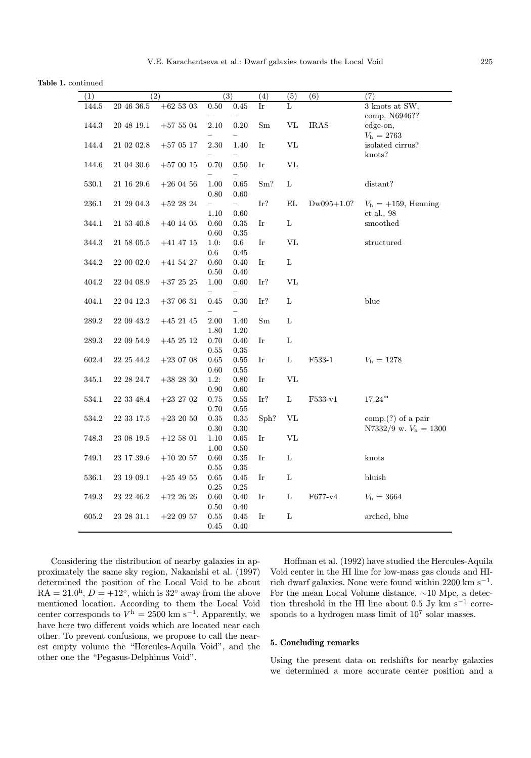Table 1. continued

| (1)       | $\overline{(2)}$ |               | (3)          |                          | (4)  | (5)         | (6)          | (7)                          |
|-----------|------------------|---------------|--------------|--------------------------|------|-------------|--------------|------------------------------|
| 144.5     | 20 46 36.5       | $+625303$     | 0.50         | 0.45                     | Ir   | L           |              | 3 knots at SW,               |
|           |                  |               |              |                          |      |             |              | comp. N6946??                |
| $144.3\,$ | $20\ 48\ 19.1$   | $+57504$      | 2.10         | $0.20\,$                 | Sm   | $\rm{VL}$   | <b>IRAS</b>  | edge-on,                     |
|           |                  |               |              |                          |      |             |              | $V_{\rm h}$ = 2763           |
| 144.4     | $21\ 02\ 02.8$   | $+570517$     | 2.30         | 1.40                     | Ir   | VL          |              | isolated cirrus?             |
|           |                  |               |              |                          |      |             |              | knots?                       |
| 144.6     | 21 04 30.6       | $+570015$     | 0.70         | 0.50                     | Ir   | $\rm{VL}$   |              |                              |
|           |                  |               |              |                          |      |             |              |                              |
| 530.1     | 21 16 29.6       | $+260456$     | 1.00         | 0.65                     | Sm?  | L           |              | distant?                     |
|           |                  |               | 0.80         | 0.60                     |      |             |              |                              |
| 236.1     | $21\ 29\ 04.3$   | $+522824$     | -            | $\overline{\phantom{0}}$ | Ir?  | EL          | $Dw095+1.0?$ | $V_{\rm h} = +159$ , Henning |
| 344.1     | 21 53 40.8       | $+40$ 14 05   | 1.10<br>0.60 | 0.60<br>0.35             | Ir   | Г           |              | et al., 98<br>smoothed       |
|           |                  |               | 0.60         | 0.35                     |      |             |              |                              |
| 344.3     | 21 58 05.5       | $+41$ 47 15   | 1.0:         | $0.6\,$                  | Ir   | <b>VL</b>   |              | structured                   |
|           |                  |               | $0.6\,$      | 0.45                     |      |             |              |                              |
| 344.2     | 22 00 02.0       | $+41\;54\;27$ | 0.60         | 0.40                     | Ir   | L           |              |                              |
|           |                  |               | $0.50\,$     | $0.40\,$                 |      |             |              |                              |
| 404.2     | 22 04 08.9       | $+372525$     | 1.00         | 0.60                     | Ir?  | $\rm{VL}$   |              |                              |
|           |                  |               | -            | $\overline{\phantom{0}}$ |      |             |              |                              |
| 404.1     | 22 04 12.3       | $+370631$     | 0.45         | 0.30                     | Ir?  | Г           |              | blue                         |
|           |                  |               |              |                          |      |             |              |                              |
| 289.2     | 22 09 43.2       | $+45$ 21 45   | 2.00         | 1.40                     | Sm   | L           |              |                              |
|           |                  |               | 1.80         | 1.20                     |      |             |              |                              |
| 289.3     | 22 09 54.9       | $+45\ 25\ 12$ | 0.70         | 0.40                     | Ir   | $\mathbf L$ |              |                              |
|           |                  |               | 0.55         | 0.35                     |      |             |              |                              |
| 602.4     | $22\ 25\ 44.2$   | $+23\ 07\ 08$ | 0.65         | 0.55                     | Ir   | $\mathbf L$ | F533-1       | $V_{\rm h} = 1278$           |
|           |                  |               | 0.60         | 0.55                     |      |             |              |                              |
| 345.1     | 22 28 24.7       | $+382830$     | 1.2:         | 0.80                     | Ir   | VL          |              |                              |
|           |                  |               | $0.90\,$     | 0.60                     |      |             |              |                              |
| 534.1     | 22 33 48.4       | $+23\;27\;02$ | 0.75<br>0.70 | 0.55                     | Ir?  | L           | $F533-v1$    | $17.24^{\rm m}$              |
| 534.2     | $22\ 33\ 17.5$   | $+23\ 20\ 50$ | 0.35         | 0.55<br>$\rm 0.35$       | Sph? | ${\rm VL}$  |              | $comp.(?)$ of a pair         |
|           |                  |               | 0.30         | 0.30                     |      |             |              | N7332/9 w. $V_h = 1300$      |
| 748.3     | 23 08 19.5       | $+125801$     | 1.10         | 0.65                     | Ir   | VL          |              |                              |
|           |                  |               | 1.00         | 0.50                     |      |             |              |                              |
| $749.1\,$ | 23 17 39.6       | $+102057$     | 0.60         | 0.35                     | Ir   | $\mathbf L$ |              | knots                        |
|           |                  |               | 0.55         | $\rm 0.35$               |      |             |              |                              |
| 536.1     | 23 19 09.1       | $+254955$     | $0.65\,$     | $0.45\,$                 | Ir   | L           |              | bluish                       |
|           |                  |               | 0.25         | 0.25                     |      |             |              |                              |
| 749.3     | 23 22 46.2       | $+12\ 26\ 26$ | 0.60         | 0.40                     | Ir   | L           | $F677-v4$    | $V_{\rm h} = 3664$           |
|           |                  |               | 0.50         | 0.40                     |      |             |              |                              |
| 605.2     | 23 28 31.1       | $+220957$     | 0.55         | 0.45                     | Ir   | L           |              | arched, blue                 |
|           |                  |               | 0.45         | 0.40                     |      |             |              |                              |

Considering the distribution of nearby galaxies in approximately the same sky region, Nakanishi et al. (1997) determined the position of the Local Void to be about  $RA = 21.0<sup>h</sup>$ ,  $D = +12<sup>°</sup>$ , which is 32° away from the above mentioned location. According to them the Local Void center corresponds to  $V^{\text{h}} = 2500 \text{ km s}^{-1}$ . Apparently, we have here two different voids which are located near each other. To prevent confusions, we propose to call the nearest empty volume the "Hercules-Aquila Void", and the other one the "Pegasus-Delphinus Void".

Hoffman et al. (1992) have studied the Hercules-Aquila Void center in the HI line for low-mass gas clouds and HIrich dwarf galaxies. None were found within 2200 km s<sup> $-1$ </sup>. For the mean Local Volume distance, ∼10 Mpc, a detection threshold in the HI line about 0.5 Jy km s<sup> $-1$ </sup> corresponds to a hydrogen mass limit of  $10^7$  solar masses.

## 5. Concluding remarks

Using the present data on redshifts for nearby galaxies we determined a more accurate center position and a